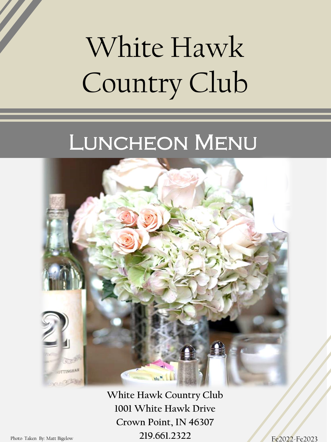# White Hawk Country Club

## LUNCHEON MENU



**White Hawk Country Club 1001 White Hawk Drive Crown Point, IN 46307** Photo Taken By: Matt Bigelow **219.661.2322**

Fe2022-Fe2023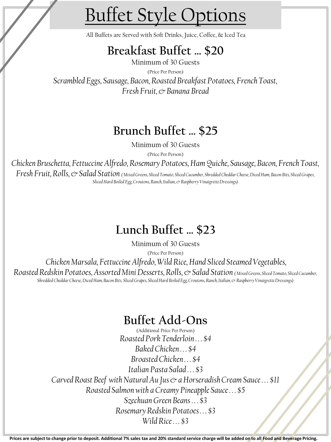## Buffet Style Options

All Buffets are Served with Soft Drinks, Juice, Coffee, & Iced Tea

### **Breakfast Buffet … \$20**

Minimum of 30 Guests (Price Per Person) *Scrambled Eggs, Sausage, Bacon, Roasted Breakfast Potatoes, French Toast, Fresh Fruit, & Banana Bread*

### **Brunch Buffet … \$25**

Minimum of 30 Guests

(Price Per Person)

*Chicken Bruschetta, Fettuccine Alfredo, Rosemary Potatoes, Ham Quiche, Sausage, Bacon, French Toast, Fresh Fruit, Rolls, & Salad Station ( Mixed Greens, Sliced Tomato, Sliced Cucumber, Shredded Cheddar Cheese, Diced Ham, Bacon Bits, Sliced Grapes,* 

*Sliced Hard Boiled Egg, Croutons, Ranch, Italian, & Raspberry Vinaigrette Dressings)*

## **Lunch Buffet … \$23**

Minimum of 30 Guests

(Price Per Person)

*Chicken Marsala, Fettuccine Alfredo, Wild Rice, Hand Sliced Steamed Vegetables,* 

*Roasted Redskin Potatoes, Assorted Mini Desserts, Rolls, & Salad Station ( Mixed Greens, Sliced Tomato, Sliced Cucumber, Shredded Cheddar Cheese, Diced Ham, Bacon Bits, Sliced Grapes, Sliced Hard Boiled Egg, Croutons, Ranch, Italian, & Raspberry Vinaigrette Dressings)*

### **Buffet Add-Ons**

(Additional Price Per Person) *Roasted Pork Tenderloin . . . \$4 Baked Chicken . . . \$4 Broasted Chicken . . . \$4 Italian Pasta Salad . . . \$3 Carved Roast Beef with Natural Au Jus & a Horseradish Cream Sauce . . . \$11 Roasted Salmon with a Creamy Pineapple Sauce . . . \$5 Szechuan Green Beans . . . \$3 Rosemary Redskin Potatoes . . . \$3 Wild Rice . . . \$3*

**Prices are subject to change prior to deposit. Additional 7% sales tax and 20% standard service charge will be added on to all Food and Beverage Pricing.**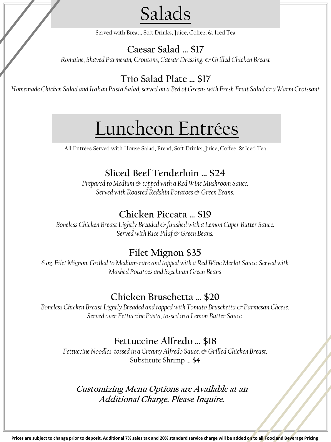Salads

Served with Bread, Soft Drinks, Juice, Coffee, & Iced Tea

#### **Caesar Salad … \$17**

*Romaine, Shaved Parmesan, Croutons, Caesar Dressing, & Grilled Chicken Breast*

#### **Trio Salad Plate … \$17**

*Homemade Chicken Salad and Italian Pasta Salad, served on a Bed of Greens with Fresh Fruit Salad & a Warm Croissant*

## Luncheon Entrées

All Entrées Served with House Salad, Bread, Soft Drinks, Juice, Coffee, & Iced Tea

#### **Sliced Beef Tenderloin … \$24**

*Prepared to Medium & topped with a Red Wine Mushroom Sauce. Served with Roasted Redskin Potatoes & Green Beans.*

#### **Chicken Piccata … \$19**

*Boneless Chicken Breast Lightly Breaded & finished with a Lemon Caper Butter Sauce. Served with Rice Pilaf & Green Beans.*

#### **Filet Mignon \$35**

*6 oz. Filet Mignon. Grilled to Medium-rare and topped with a Red Wine Merlot Sauce. Served with Mashed Potatoes and Szechuan Green Beans*

#### **Chicken Bruschetta … \$20**

*Boneless Chicken Breast Lightly Breaded and topped with Tomato Bruschetta & Parmesan Cheese. Served over Fettuccine Pasta, tossed in a Lemon Butter Sauce.* 

#### **Fettuccine Alfredo … \$18**

*Fettuccine Noodles tossed in a Creamy Alfredo Sauce. & Grilled Chicken Breast.*  Substitute Shrimp … **\$4**

#### **Customizing Menu Options are Available at an Additional Charge. Please Inquire**.

**Prices are subject to change prior to deposit. Additional 7% sales tax and 20% standard service charge will be added on to all Food and Beverage Pricing**.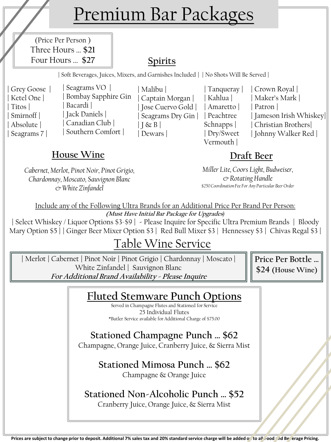## Premium Bar Packages

(Price Per Person ) Three Hours … **\$21** Four Hours … **\$27**

### **Spirits**

**|** Soft Beverages, Juices, Mixers, and Garnishes Included **| |** No Shots Will Be Served **|** 

**|** Grey Goose **| |** Ketel One **| |** Titos **| |** Smirnoff **| |** Absolute **| |** Seagrams 7 **|** 

**|** Seagrams VO **| |** Bombay Sapphire Gin **|** Bacardi **| |** Jack Daniels **| |** Canadian Club **| |** Southern Comfort **|** 

**House Wine Draft Beer**

*Cabernet, Merlot, Pinot Noir, Pinot Grigio, Chardonnay, Moscato, Sauvignon Blanc & White Zinfandel*

**|** Malibu **| |** Captain Morgan **| |** Jose Cuervo Gold **| |** Seagrams Dry Gin **| |** Peachtree **|** J & B **| |** Dewars **|** 

**|** Tanqueray **| |** Kahlua **| |** Amaretto **|**  Schnapps **| |** Dry/Sweet Vermouth **|** 

**|** Crown Royal **| |** Maker's Mark **| |** Patron **| |** Jameson Irish Whiskey**| |** Christian Brothers**| |** Johnny Walker Red **|**

*Miller Lite, Coors Light, Budweiser, & Rotating Handle \$250 Coordination Fee For Any Particular Beer Order*

Include any of the Following Ultra Brands for an Additional Price Per Brand Per Person: **(Must Have Initial Bar Package for Upgrades***)*

**|** Select Whiskey / Liquor Options \$3-\$9 **| -** Please Inquire for Specific Ultra Premium Brands **|** Bloody Mary Option \$5 **| |** Ginger Beer Mixer Option \$3 **|** Red Bull Mixer \$3 | Hennessey \$3 **|** Chivas Regal \$3 **|** 

## Table Wine Service

**|** Merlot **|** Cabernet **|** Pinot Noir **|** Pinot Grigio **|** Chardonnay **|** Moscato **|**  White Zinfandel **|** Sauvignon Blanc **For Additional Brand Availability - Please Inquire**

**Price Per Bottle … \$24 (House Wine)**

### **Fluted Stemware Punch Options**

Served in Champagne Flutes and Stationed for Service 25 Individual Flutes \*Butler Service available for Additional Charge of \$75.00

**Stationed Champagne Punch … \$62** Champagne, Orange Juice, Cranberry Juice, & Sierra Mist

> **Stationed Mimosa Punch … \$62** Champagne & Orange Juice

## **Stationed Non-Alcoholic Punch … \$52**

Cranberry Juice, Orange Juice, & Sierra Mist

Prices are subject to change prior to deposit. Additional 7% sales tax and 20% standard service charge will be added on to all rood and Beneage Pricing.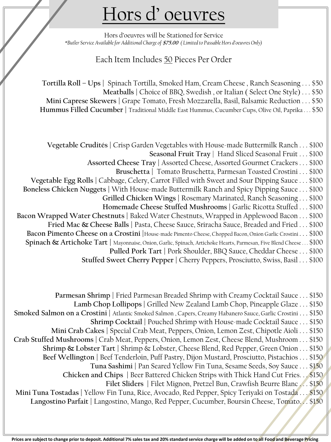## Hors d' oeuvres

Hors d'oeuvres will be Stationed for Service \**Butler Service Available for Additional Charge of* **\$75.00** *( Limited to Passable Hors d'oeuvres Only)*

#### Each Item Includes 50 Pieces Per Order

**Tortilla Roll – Ups |** Spinach Tortilla, Smoked Ham, Cream Cheese , Ranch Seasoning . . . \$50 **Meatballs |** Choice of BBQ, Swedish , or Italian ( Select One Style) . . . \$50 **Mini Caprese Skewers |** Grape Tomato, Fresh Mozzarella, Basil, Balsamic Reduction . . . \$50 **Hummus Filled Cucumber |** Traditional Middle East Hummus, Cucumber Cups, Olive Oil, Paprika . . . \$50

**Vegetable Crudités |** Crisp Garden Vegetables with House-made Buttermilk Ranch . . . \$100 **Seasonal Fruit Tray** | Hand Sliced Seasonal Fruit . . . \$100 **Assorted Cheese Tray |** Assorted Cheese, Assorted Gourmet Crackers . . . \$100 **Bruschetta |** Tomato Bruschetta, Parmesan Toasted Crostini . . . \$100 **Vegetable Egg Rolls |** Cabbage, Celery, Carrot Filled with Sweet and Sour Dipping Sauce . . . \$100 **Boneless Chicken Nuggets |** With House-made Buttermilk Ranch and Spicy Dipping Sauce . . . \$100 **Grilled Chicken Wings |** Rosemary Marinated, Ranch Seasoning . . . \$100 **Homemade Cheese Stuffed Mushrooms |** Garlic Ricotta Stuffed . . . \$100 **Bacon Wrapped Water Chestnuts |** Baked Water Chestnuts, Wrapped in Applewood Bacon . . . \$100 **Fried Mac & Cheese Balls |** Pasta, Cheese Sauce, Sriracha Sauce, Breaded and Fried . . . \$100 **Bacon Pimento Cheese on a Crostini |**House-made Pimento Cheese, Chopped Bacon, Onion Garlic Crostini . . . \$100 **Spinach & Artichoke Tart |** Mayonnaise, Onion, Garlic, Spinach, Artichoke Hearts, Parmesan, Five Blend Cheese . . . \$100 **Pulled Pork Tart |** Pork Shoulder, BBQ Sauce, Cheddar Cheese . . . \$100 Stuffed Sweet Cherry Pepper | Cherry Peppers, Prosciutto, Swiss, Basil . . . \$100

**Parmesan Shrimp |** Fried Parmesan Breaded Shrimp with Creamy Cocktail Sauce . . . \$150 **Lamb Chop Lollipops |** Grilled New Zealand Lamb Chop, Pineapple Glaze . . . \$150 **Smoked Salmon on a Crostini |** Atlantic Smoked Salmon , Capers, Creamy Habanero Sauce, Garlic Crostini . . . \$150 **Shrimp Cocktail |** Pouched Shrimp with House-made Cocktail Sauce . . . \$150 **Mini Crab Cakes |** Special Crab Meat, Peppers, Onion, Lemon Zest, Chipotle Aioli . . . \$150 **Crab Stuffed Mushrooms |** Crab Meat, Peppers, Onion, Lemon Zest, Cheese Blend, Mushroom . . . \$150 **Shrimp & Lobster Tart |** Shrimp & Lobster, Cheese Blend, Red Pepper, Green Onion . . . \$150 **Beef Wellington |** Beef Tenderloin, Puff Pastry, Dijon Mustard, Prosciutto, Pistachios . . . \$150 **Tuna Sashimi |** Pan Seared Yellow Fin Tuna, Sesame Seeds, Soy Sauce . . . \$150 **Chicken and Chips |** Beer Battered Chicken Strips with Thick Hand Cut Fries. . . \$150 Filet Sliders | Filet Mignon, Pretzel Bun, Crawfish Beurre Blanc ... \$150 **Mini Tuna Tostadas |** Yellow Fin Tuna, Rice, Avocado, Red Pepper, Spicy Teriyaki on Tostada . . . \$150 **Langostino Parfait |** Langostino, Mango, Red Pepper, Cucumber, Boursin Cheese, Tomato. . . \$150